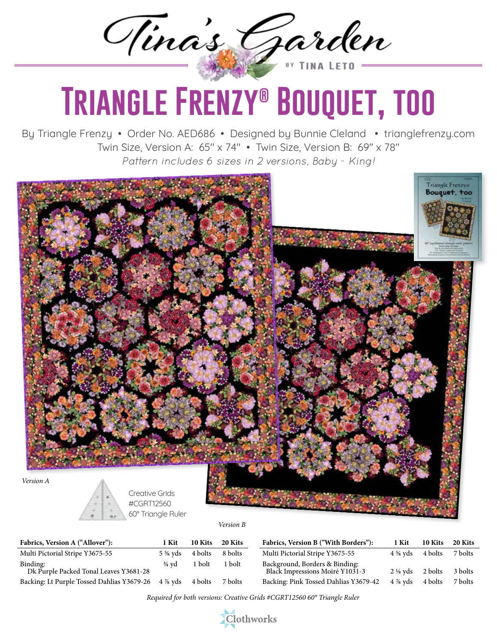Tina's Garden

## **Triangle Frenzy® Bouquet, too**

By Triangle Frenzy • Order No. AED686 • Designed by Bunnie Cleland • trianglefrenzy.com Twin Size, Version A: 65" x 74" • Twin Size, Version B: 69" x 78" *Pattern includes 6 sizes in 2 versions, Baby - King!*



## *Version B*

| Fabrics, Version A ("Allover"):                                    | 1 Kit            | 10 Kits | 20 Kits | Fabrics, Version B ("With Borders"):                              | 1 Kit                        | 10 Kits | 20 Kits |
|--------------------------------------------------------------------|------------------|---------|---------|-------------------------------------------------------------------|------------------------------|---------|---------|
| Multi Pictorial Stripe Y3675-55                                    | 5 % vds          | 4 bolts | 8 bolts | Multi Pictorial Stripe Y3675-55                                   | $4\frac{5}{8}$ yds $4$ bolts |         | 7 bolts |
| Binding:<br>Dk Purple Packed Tonal Leaves Y3681-28                 | $\frac{3}{4}$ vd | 1 bolt  | 1 bolt  | Background, Borders & Binding:<br>Black Impressions Moiré Y1031-3 | $2\frac{1}{8}$ yds 2 bolts   |         | 3 bolts |
| Backing: Lt Purple Tossed Dahlias Y3679-26 4 % yds 4 bolts 7 bolts |                  |         |         | Backing: Pink Tossed Dahlias Y3679-42                             | $4\%$ yds $4 \text{ bolts}$  |         | 7 bolts |

*Required for both versions: Creative Grids #CGRT12560 60° Triangle Ruler*

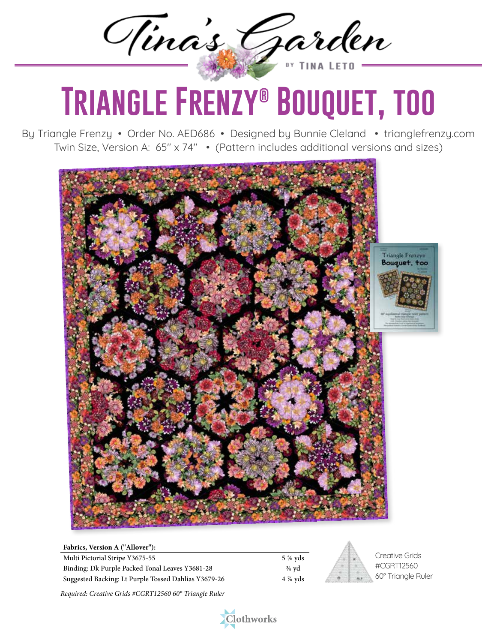Tinas Garden

## **Triangle Frenzy® Bouquet, too**

By Triangle Frenzy • Order No. AED686 • Designed by Bunnie Cleland • trianglefrenzy.com Twin Size, Version A: 65" x 74" • (Pattern includes additional versions and sizes)



| Fabrics, Version A ("Allover"):                      |                  |
|------------------------------------------------------|------------------|
| Multi Pictorial Stripe Y3675-55                      | 5 % vds          |
| Binding: Dk Purple Packed Tonal Leaves Y3681-28      | $\frac{3}{4}$ vd |
| Suggested Backing: Lt Purple Tossed Dahlias Y3679-26 | $4\%$ vds        |



Creative Grids #CGRT12560 60° Triangle Ruler

*Required: Creative Grids #CGRT12560 60° Triangle Ruler*